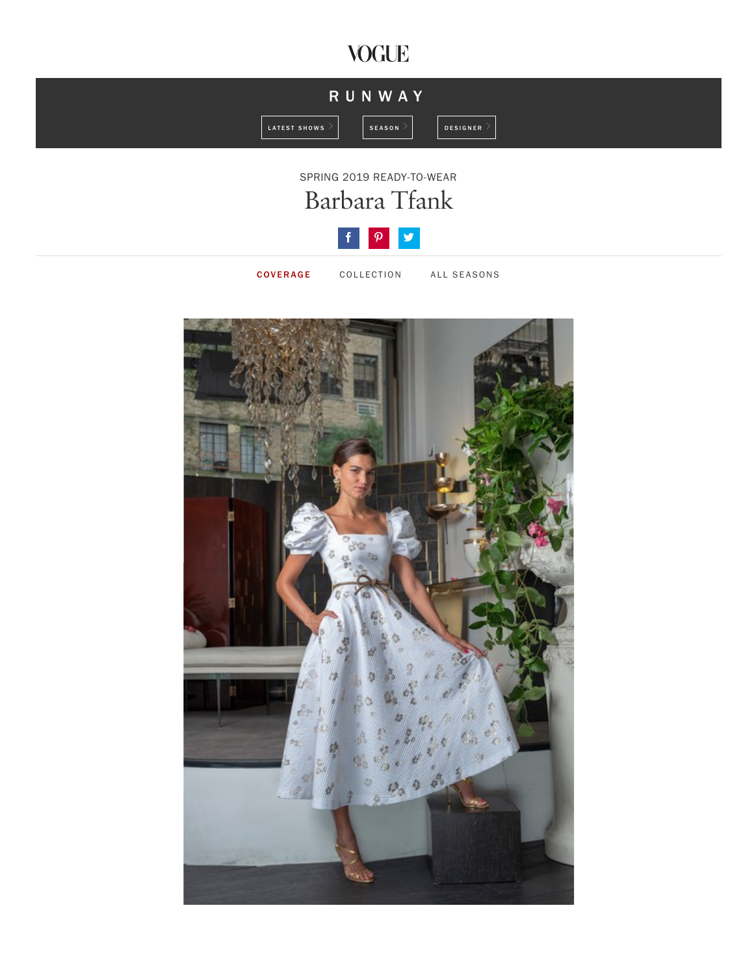## **VOGUE**









COVERAGE COLLECTION ALL SEASONS